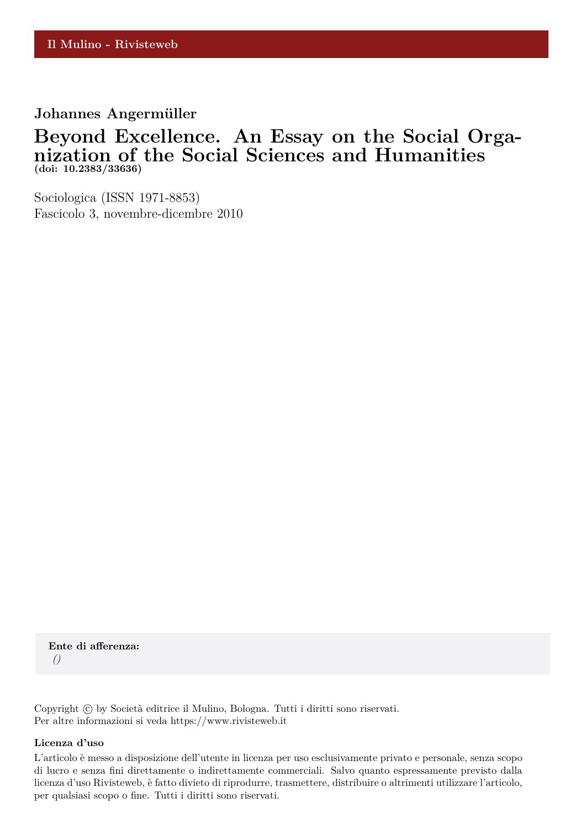### **Johannes Angermüller**

# **Beyond Excellence. An Essay on the Social Organization of the Social Sciences and Humanities (doi: 10.2383/33636)**

Sociologica (ISSN 1971-8853) Fascicolo 3, novembre-dicembre 2010

**Ente di afferenza:** *()*

Copyright © by Società editrice il Mulino, Bologna. Tutti i diritti sono riservati. Per altre informazioni si veda https://www.rivisteweb.it

#### **Licenza d'uso**

L'articolo è messo a disposizione dell'utente in licenza per uso esclusivamente privato e personale, senza scopo di lucro e senza fini direttamente o indirettamente commerciali. Salvo quanto espressamente previsto dalla licenza d'uso Rivisteweb, è fatto divieto di riprodurre, trasmettere, distribuire o altrimenti utilizzare l'articolo, per qualsiasi scopo o fine. Tutti i diritti sono riservati.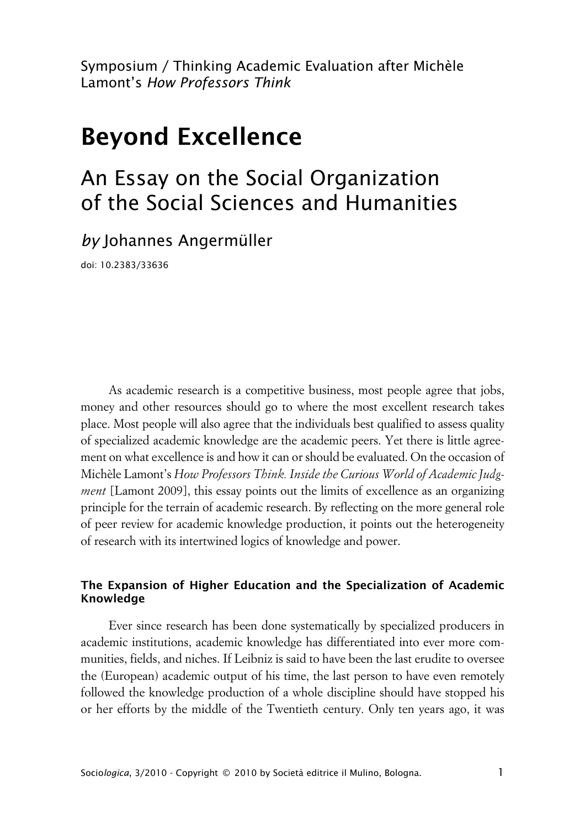Symposium / Thinking Academic Evaluation after Michèle Lamont's *How Professors Think*

# **Beyond Excellence**

# An Essay on the Social Organization of the Social Sciences and Humanities

*by* Johannes Angermüller

doi: 10.2383/33636

As academic research is a competitive business, most people agree that jobs, money and other resources should go to where the most excellent research takes place. Most people will also agree that the individuals best qualified to assess quality of specialized academic knowledge are the academic peers. Yet there is little agreement on what excellence is and how it can or should be evaluated. On the occasion of Michèle Lamont's *How Professors Think. Inside the Curious World of Academic Judgment* [Lamont 2009], this essay points out the limits of excellence as an organizing principle for the terrain of academic research. By reflecting on the more general role of peer review for academic knowledge production, it points out the heterogeneity of research with its intertwined logics of knowledge and power.

### **xThe Expansion of Higher Education and the Specialization of Academic Knowledge**

Ever since research has been done systematically by specialized producers in academic institutions, academic knowledge has differentiated into ever more communities, fields, and niches. If Leibniz is said to have been the last erudite to oversee the (European) academic output of his time, the last person to have even remotely followed the knowledge production of a whole discipline should have stopped his or her efforts by the middle of the Twentieth century. Only ten years ago, it was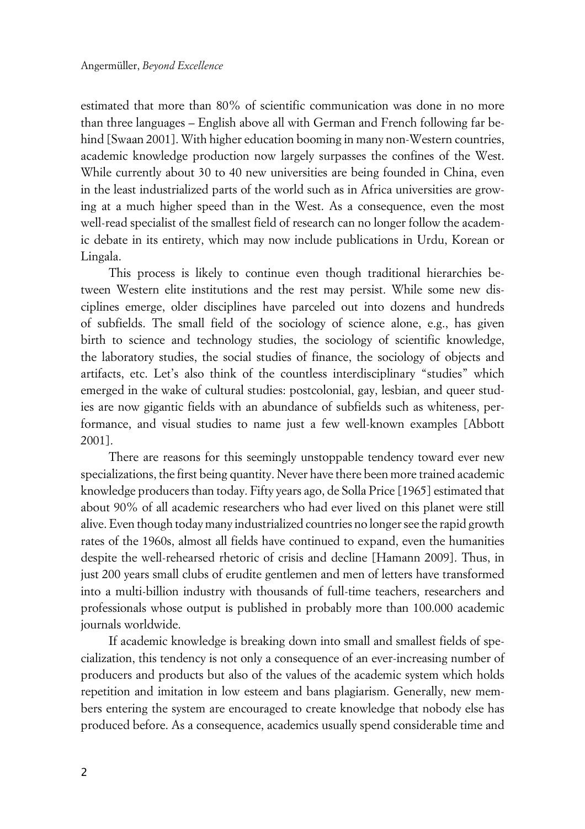estimated that more than 80% of scientific communication was done in no more than three languages – English above all with German and French following far behind [Swaan 2001]. With higher education booming in many non-Western countries, academic knowledge production now largely surpasses the confines of the West. While currently about 30 to 40 new universities are being founded in China, even in the least industrialized parts of the world such as in Africa universities are growing at a much higher speed than in the West. As a consequence, even the most well-read specialist of the smallest field of research can no longer follow the academic debate in its entirety, which may now include publications in Urdu, Korean or Lingala.

This process is likely to continue even though traditional hierarchies between Western elite institutions and the rest may persist. While some new disciplines emerge, older disciplines have parceled out into dozens and hundreds of subfields. The small field of the sociology of science alone, e.g., has given birth to science and technology studies, the sociology of scientific knowledge, the laboratory studies, the social studies of finance, the sociology of objects and artifacts, etc. Let's also think of the countless interdisciplinary "studies" which emerged in the wake of cultural studies: postcolonial, gay, lesbian, and queer studies are now gigantic fields with an abundance of subfields such as whiteness, performance, and visual studies to name just a few well-known examples [Abbott 2001].

There are reasons for this seemingly unstoppable tendency toward ever new specializations, the first being quantity. Never have there been more trained academic knowledge producers than today. Fifty years ago, de Solla Price [1965] estimated that about 90% of all academic researchers who had ever lived on this planet were still alive. Even though today many industrialized countries no longer see the rapid growth rates of the 1960s, almost all fields have continued to expand, even the humanities despite the well-rehearsed rhetoric of crisis and decline [Hamann 2009]. Thus, in just 200 years small clubs of erudite gentlemen and men of letters have transformed into a multi-billion industry with thousands of full-time teachers, researchers and professionals whose output is published in probably more than 100.000 academic journals worldwide.

If academic knowledge is breaking down into small and smallest fields of specialization, this tendency is not only a consequence of an ever-increasing number of producers and products but also of the values of the academic system which holds repetition and imitation in low esteem and bans plagiarism. Generally, new members entering the system are encouraged to create knowledge that nobody else has produced before. As a consequence, academics usually spend considerable time and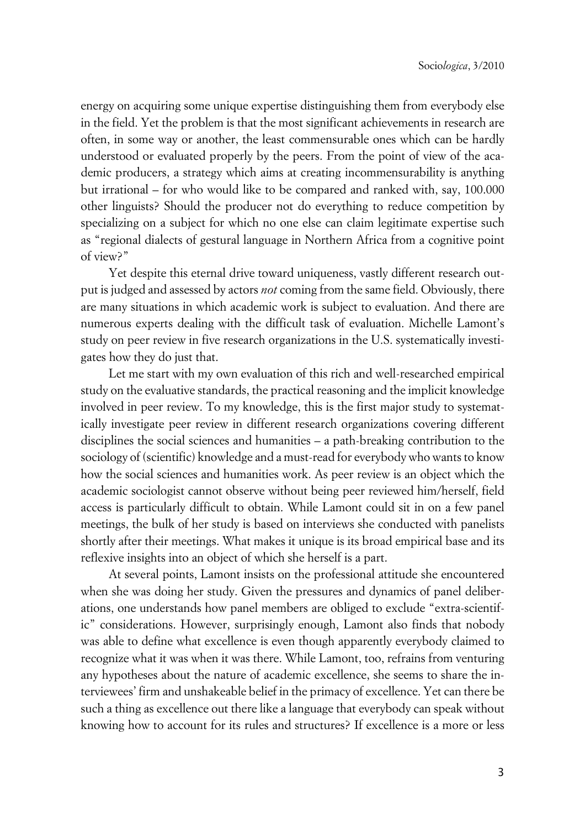energy on acquiring some unique expertise distinguishing them from everybody else in the field. Yet the problem is that the most significant achievements in research are often, in some way or another, the least commensurable ones which can be hardly understood or evaluated properly by the peers. From the point of view of the academic producers, a strategy which aims at creating incommensurability is anything but irrational – for who would like to be compared and ranked with, say, 100.000 other linguists? Should the producer not do everything to reduce competition by specializing on a subject for which no one else can claim legitimate expertise such as "regional dialects of gestural language in Northern Africa from a cognitive point of view?"

Yet despite this eternal drive toward uniqueness, vastly different research output is judged and assessed by actors *not* coming from the same field. Obviously, there are many situations in which academic work is subject to evaluation. And there are numerous experts dealing with the difficult task of evaluation. Michelle Lamont's study on peer review in five research organizations in the U.S. systematically investigates how they do just that.

Let me start with my own evaluation of this rich and well-researched empirical study on the evaluative standards, the practical reasoning and the implicit knowledge involved in peer review. To my knowledge, this is the first major study to systematically investigate peer review in different research organizations covering different disciplines the social sciences and humanities – a path-breaking contribution to the sociology of (scientific) knowledge and a must-read for everybody who wants to know how the social sciences and humanities work. As peer review is an object which the academic sociologist cannot observe without being peer reviewed him/herself, field access is particularly difficult to obtain. While Lamont could sit in on a few panel meetings, the bulk of her study is based on interviews she conducted with panelists shortly after their meetings. What makes it unique is its broad empirical base and its reflexive insights into an object of which she herself is a part.

At several points, Lamont insists on the professional attitude she encountered when she was doing her study. Given the pressures and dynamics of panel deliberations, one understands how panel members are obliged to exclude "extra-scientific" considerations. However, surprisingly enough, Lamont also finds that nobody was able to define what excellence is even though apparently everybody claimed to recognize what it was when it was there. While Lamont, too, refrains from venturing any hypotheses about the nature of academic excellence, she seems to share the interviewees' firm and unshakeable belief in the primacy of excellence. Yet can there be such a thing as excellence out there like a language that everybody can speak without knowing how to account for its rules and structures? If excellence is a more or less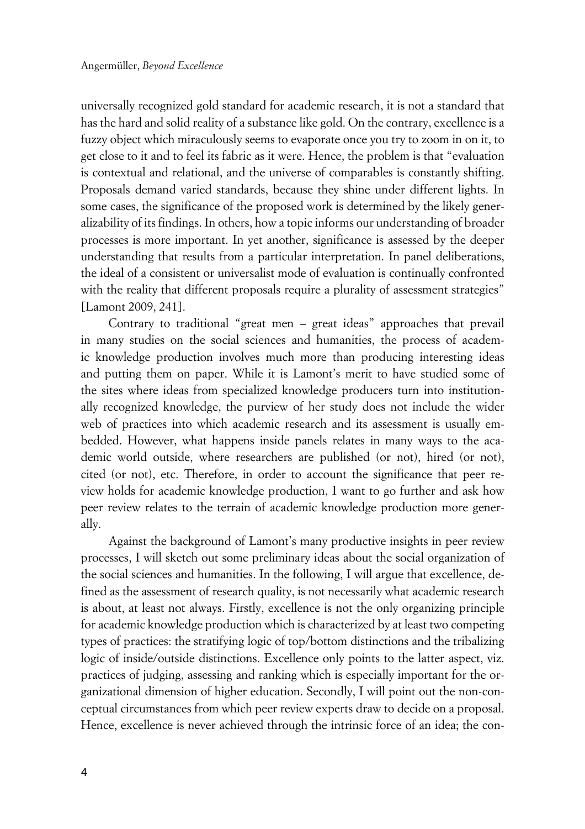universally recognized gold standard for academic research, it is not a standard that has the hard and solid reality of a substance like gold. On the contrary, excellence is a fuzzy object which miraculously seems to evaporate once you try to zoom in on it, to get close to it and to feel its fabric as it were. Hence, the problem is that "evaluation is contextual and relational, and the universe of comparables is constantly shifting. Proposals demand varied standards, because they shine under different lights. In some cases, the significance of the proposed work is determined by the likely generalizability of its findings. In others, how a topic informs our understanding of broader processes is more important. In yet another, significance is assessed by the deeper understanding that results from a particular interpretation. In panel deliberations, the ideal of a consistent or universalist mode of evaluation is continually confronted with the reality that different proposals require a plurality of assessment strategies" [Lamont 2009, 241].

Contrary to traditional "great men – great ideas" approaches that prevail in many studies on the social sciences and humanities, the process of academic knowledge production involves much more than producing interesting ideas and putting them on paper. While it is Lamont's merit to have studied some of the sites where ideas from specialized knowledge producers turn into institutionally recognized knowledge, the purview of her study does not include the wider web of practices into which academic research and its assessment is usually embedded. However, what happens inside panels relates in many ways to the academic world outside, where researchers are published (or not), hired (or not), cited (or not), etc. Therefore, in order to account the significance that peer review holds for academic knowledge production, I want to go further and ask how peer review relates to the terrain of academic knowledge production more generally.

Against the background of Lamont's many productive insights in peer review processes, I will sketch out some preliminary ideas about the social organization of the social sciences and humanities. In the following, I will argue that excellence, defined as the assessment of research quality, is not necessarily what academic research is about, at least not always. Firstly, excellence is not the only organizing principle for academic knowledge production which is characterized by at least two competing types of practices: the stratifying logic of top/bottom distinctions and the tribalizing logic of inside/outside distinctions. Excellence only points to the latter aspect, viz. practices of judging, assessing and ranking which is especially important for the organizational dimension of higher education. Secondly, I will point out the non-conceptual circumstances from which peer review experts draw to decide on a proposal. Hence, excellence is never achieved through the intrinsic force of an idea; the con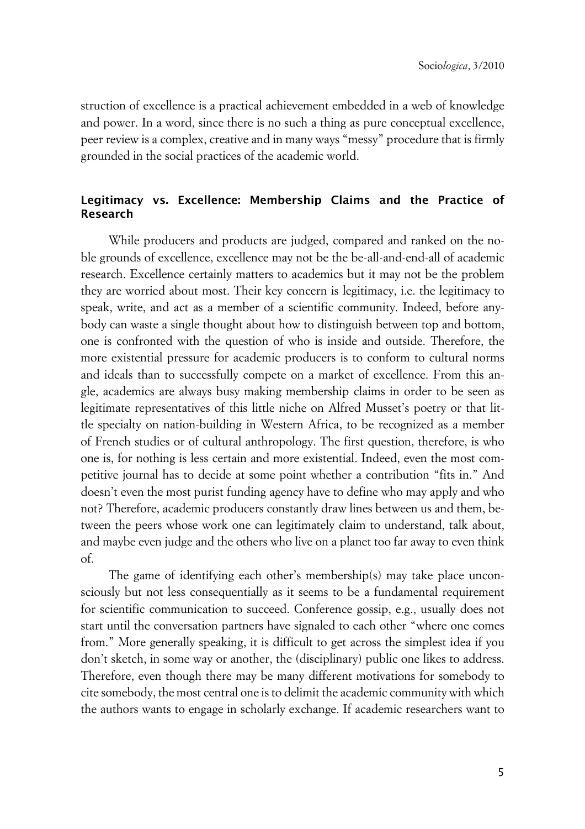struction of excellence is a practical achievement embedded in a web of knowledge and power. In a word, since there is no such a thing as pure conceptual excellence, peer review is a complex, creative and in many ways "messy" procedure that is firmly grounded in the social practices of the academic world.

### **xLegitimacy vs. Excellence: Membership Claims and the Practice of Research**

While producers and products are judged, compared and ranked on the noble grounds of excellence, excellence may not be the be-all-and-end-all of academic research. Excellence certainly matters to academics but it may not be the problem they are worried about most. Their key concern is legitimacy, i.e. the legitimacy to speak, write, and act as a member of a scientific community. Indeed, before anybody can waste a single thought about how to distinguish between top and bottom, one is confronted with the question of who is inside and outside. Therefore, the more existential pressure for academic producers is to conform to cultural norms and ideals than to successfully compete on a market of excellence. From this angle, academics are always busy making membership claims in order to be seen as legitimate representatives of this little niche on Alfred Musset's poetry or that little specialty on nation-building in Western Africa, to be recognized as a member of French studies or of cultural anthropology. The first question, therefore, is who one is, for nothing is less certain and more existential. Indeed, even the most competitive journal has to decide at some point whether a contribution "fits in." And doesn't even the most purist funding agency have to define who may apply and who not? Therefore, academic producers constantly draw lines between us and them, between the peers whose work one can legitimately claim to understand, talk about, and maybe even judge and the others who live on a planet too far away to even think of.

The game of identifying each other's membership(s) may take place unconsciously but not less consequentially as it seems to be a fundamental requirement for scientific communication to succeed. Conference gossip, e.g., usually does not start until the conversation partners have signaled to each other "where one comes from." More generally speaking, it is difficult to get across the simplest idea if you don't sketch, in some way or another, the (disciplinary) public one likes to address. Therefore, even though there may be many different motivations for somebody to cite somebody, the most central one is to delimit the academic community with which the authors wants to engage in scholarly exchange. If academic researchers want to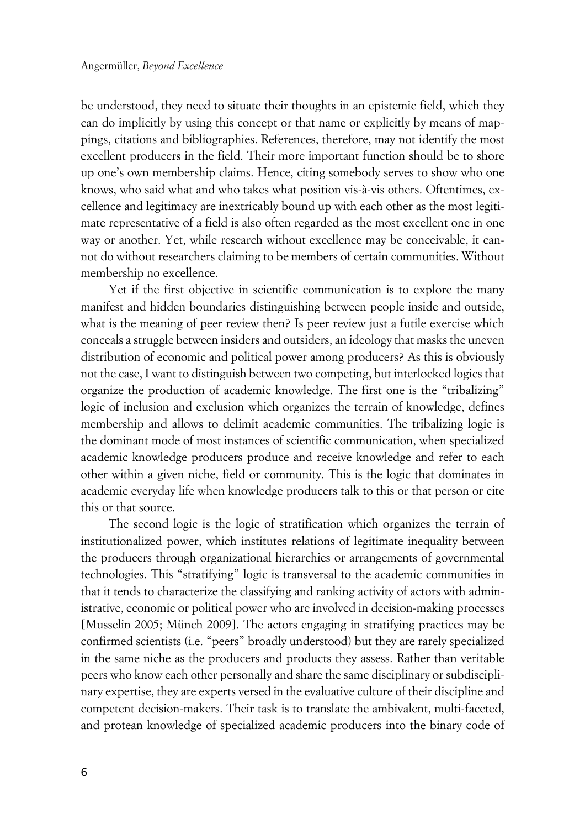be understood, they need to situate their thoughts in an epistemic field, which they can do implicitly by using this concept or that name or explicitly by means of mappings, citations and bibliographies. References, therefore, may not identify the most excellent producers in the field. Their more important function should be to shore up one's own membership claims. Hence, citing somebody serves to show who one knows, who said what and who takes what position vis-à-vis others. Oftentimes, excellence and legitimacy are inextricably bound up with each other as the most legitimate representative of a field is also often regarded as the most excellent one in one way or another. Yet, while research without excellence may be conceivable, it cannot do without researchers claiming to be members of certain communities. Without membership no excellence.

Yet if the first objective in scientific communication is to explore the many manifest and hidden boundaries distinguishing between people inside and outside, what is the meaning of peer review then? Is peer review just a futile exercise which conceals a struggle between insiders and outsiders, an ideology that masks the uneven distribution of economic and political power among producers? As this is obviously not the case, I want to distinguish between two competing, but interlocked logics that organize the production of academic knowledge. The first one is the "tribalizing" logic of inclusion and exclusion which organizes the terrain of knowledge, defines membership and allows to delimit academic communities. The tribalizing logic is the dominant mode of most instances of scientific communication, when specialized academic knowledge producers produce and receive knowledge and refer to each other within a given niche, field or community. This is the logic that dominates in academic everyday life when knowledge producers talk to this or that person or cite this or that source.

The second logic is the logic of stratification which organizes the terrain of institutionalized power, which institutes relations of legitimate inequality between the producers through organizational hierarchies or arrangements of governmental technologies. This "stratifying" logic is transversal to the academic communities in that it tends to characterize the classifying and ranking activity of actors with administrative, economic or political power who are involved in decision-making processes [Musselin 2005; Münch 2009]. The actors engaging in stratifying practices may be confirmed scientists (i.e. "peers" broadly understood) but they are rarely specialized in the same niche as the producers and products they assess. Rather than veritable peers who know each other personally and share the same disciplinary or subdisciplinary expertise, they are experts versed in the evaluative culture of their discipline and competent decision-makers. Their task is to translate the ambivalent, multi-faceted, and protean knowledge of specialized academic producers into the binary code of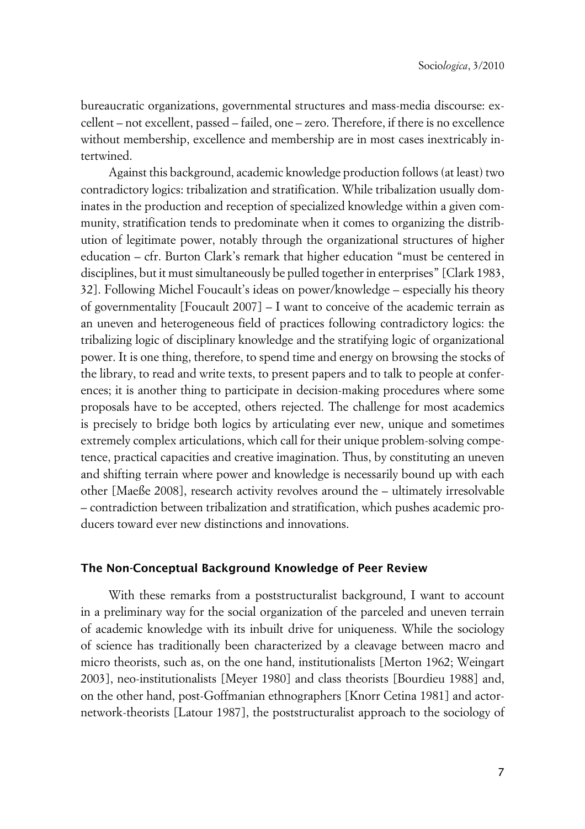bureaucratic organizations, governmental structures and mass-media discourse: excellent – not excellent, passed – failed, one – zero. Therefore, if there is no excellence without membership, excellence and membership are in most cases inextricably intertwined.

Against this background, academic knowledge production follows (at least) two contradictory logics: tribalization and stratification. While tribalization usually dominates in the production and reception of specialized knowledge within a given community, stratification tends to predominate when it comes to organizing the distribution of legitimate power, notably through the organizational structures of higher education – cfr. Burton Clark's remark that higher education "must be centered in disciplines, but it must simultaneously be pulled together in enterprises" [Clark 1983, 32]. Following Michel Foucault's ideas on power/knowledge – especially his theory of governmentality [Foucault 2007] – I want to conceive of the academic terrain as an uneven and heterogeneous field of practices following contradictory logics: the tribalizing logic of disciplinary knowledge and the stratifying logic of organizational power. It is one thing, therefore, to spend time and energy on browsing the stocks of the library, to read and write texts, to present papers and to talk to people at conferences; it is another thing to participate in decision-making procedures where some proposals have to be accepted, others rejected. The challenge for most academics is precisely to bridge both logics by articulating ever new, unique and sometimes extremely complex articulations, which call for their unique problem-solving competence, practical capacities and creative imagination. Thus, by constituting an uneven and shifting terrain where power and knowledge is necessarily bound up with each other [Maeße 2008], research activity revolves around the – ultimately irresolvable – contradiction between tribalization and stratification, which pushes academic producers toward ever new distinctions and innovations.

### **xThe Non-Conceptual Background Knowledge of Peer Review**

With these remarks from a poststructuralist background, I want to account in a preliminary way for the social organization of the parceled and uneven terrain of academic knowledge with its inbuilt drive for uniqueness. While the sociology of science has traditionally been characterized by a cleavage between macro and micro theorists, such as, on the one hand, institutionalists [Merton 1962; Weingart 2003], neo-institutionalists [Meyer 1980] and class theorists [Bourdieu 1988] and, on the other hand, post-Goffmanian ethnographers [Knorr Cetina 1981] and actornetwork-theorists [Latour 1987], the poststructuralist approach to the sociology of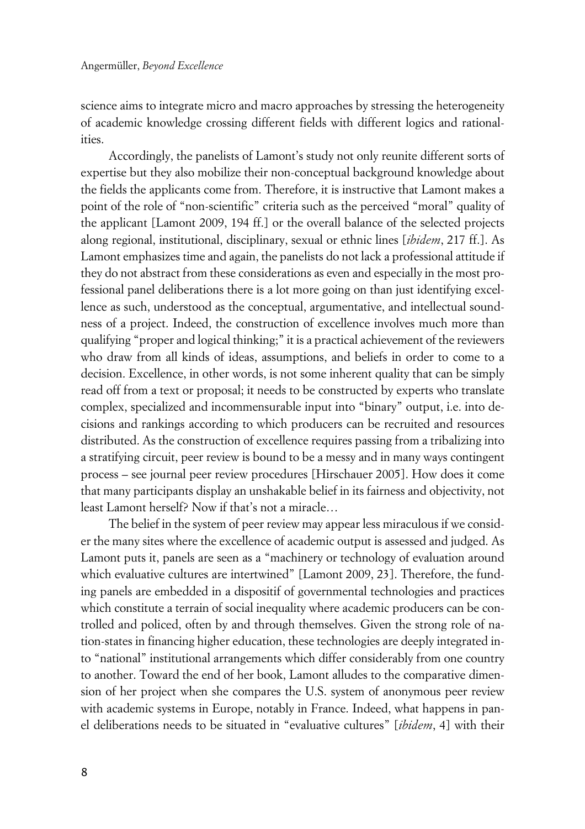science aims to integrate micro and macro approaches by stressing the heterogeneity of academic knowledge crossing different fields with different logics and rationalities.

Accordingly, the panelists of Lamont's study not only reunite different sorts of expertise but they also mobilize their non-conceptual background knowledge about the fields the applicants come from. Therefore, it is instructive that Lamont makes a point of the role of "non-scientific" criteria such as the perceived "moral" quality of the applicant [Lamont 2009, 194 ff.] or the overall balance of the selected projects along regional, institutional, disciplinary, sexual or ethnic lines [*ibidem*, 217 ff.]. As Lamont emphasizes time and again, the panelists do not lack a professional attitude if they do not abstract from these considerations as even and especially in the most professional panel deliberations there is a lot more going on than just identifying excellence as such, understood as the conceptual, argumentative, and intellectual soundness of a project. Indeed, the construction of excellence involves much more than qualifying "proper and logical thinking;" it is a practical achievement of the reviewers who draw from all kinds of ideas, assumptions, and beliefs in order to come to a decision. Excellence, in other words, is not some inherent quality that can be simply read off from a text or proposal; it needs to be constructed by experts who translate complex, specialized and incommensurable input into "binary" output, i.e. into decisions and rankings according to which producers can be recruited and resources distributed. As the construction of excellence requires passing from a tribalizing into a stratifying circuit, peer review is bound to be a messy and in many ways contingent process – see journal peer review procedures [Hirschauer 2005]. How does it come that many participants display an unshakable belief in its fairness and objectivity, not least Lamont herself? Now if that's not a miracle…

The belief in the system of peer review may appear less miraculous if we consider the many sites where the excellence of academic output is assessed and judged. As Lamont puts it, panels are seen as a "machinery or technology of evaluation around which evaluative cultures are intertwined" [Lamont 2009, 23]. Therefore, the funding panels are embedded in a dispositif of governmental technologies and practices which constitute a terrain of social inequality where academic producers can be controlled and policed, often by and through themselves. Given the strong role of nation-states in financing higher education, these technologies are deeply integrated into "national" institutional arrangements which differ considerably from one country to another. Toward the end of her book, Lamont alludes to the comparative dimension of her project when she compares the U.S. system of anonymous peer review with academic systems in Europe, notably in France. Indeed, what happens in panel deliberations needs to be situated in "evaluative cultures" [*ibidem*, 4] with their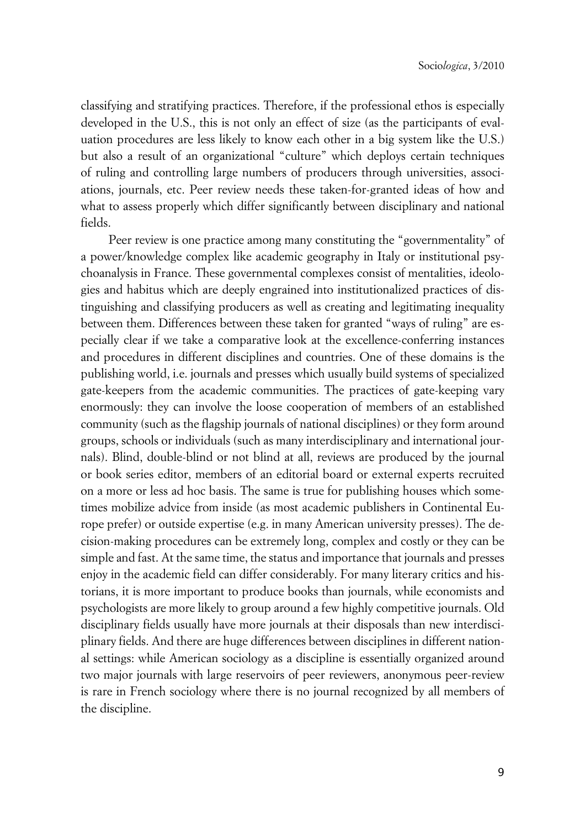classifying and stratifying practices. Therefore, if the professional ethos is especially developed in the U.S., this is not only an effect of size (as the participants of evaluation procedures are less likely to know each other in a big system like the U.S.) but also a result of an organizational "culture" which deploys certain techniques of ruling and controlling large numbers of producers through universities, associations, journals, etc. Peer review needs these taken-for-granted ideas of how and what to assess properly which differ significantly between disciplinary and national fields.

Peer review is one practice among many constituting the "governmentality" of a power/knowledge complex like academic geography in Italy or institutional psychoanalysis in France. These governmental complexes consist of mentalities, ideologies and habitus which are deeply engrained into institutionalized practices of distinguishing and classifying producers as well as creating and legitimating inequality between them. Differences between these taken for granted "ways of ruling" are especially clear if we take a comparative look at the excellence-conferring instances and procedures in different disciplines and countries. One of these domains is the publishing world, i.e. journals and presses which usually build systems of specialized gate-keepers from the academic communities. The practices of gate-keeping vary enormously: they can involve the loose cooperation of members of an established community (such as the flagship journals of national disciplines) or they form around groups, schools or individuals (such as many interdisciplinary and international journals). Blind, double-blind or not blind at all, reviews are produced by the journal or book series editor, members of an editorial board or external experts recruited on a more or less ad hoc basis. The same is true for publishing houses which sometimes mobilize advice from inside (as most academic publishers in Continental Europe prefer) or outside expertise (e.g. in many American university presses). The decision-making procedures can be extremely long, complex and costly or they can be simple and fast. At the same time, the status and importance that journals and presses enjoy in the academic field can differ considerably. For many literary critics and historians, it is more important to produce books than journals, while economists and psychologists are more likely to group around a few highly competitive journals. Old disciplinary fields usually have more journals at their disposals than new interdisciplinary fields. And there are huge differences between disciplines in different national settings: while American sociology as a discipline is essentially organized around two major journals with large reservoirs of peer reviewers, anonymous peer-review is rare in French sociology where there is no journal recognized by all members of the discipline.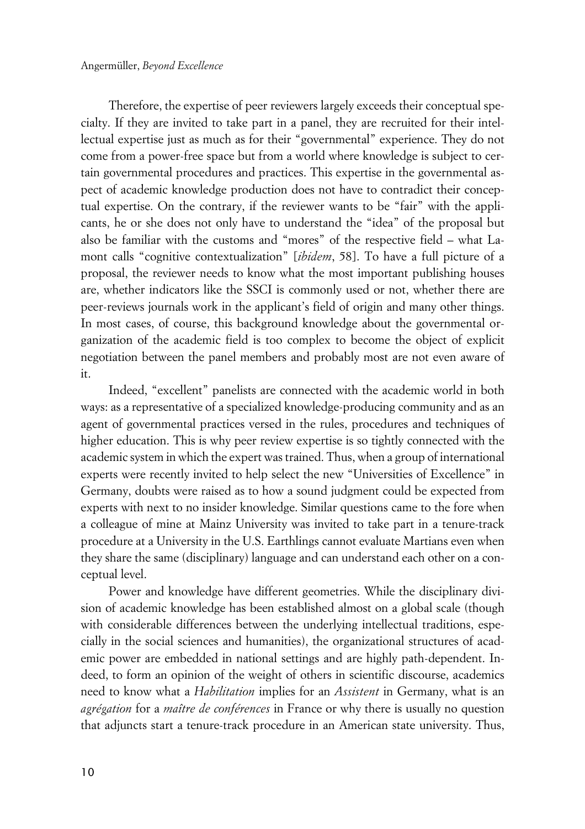Therefore, the expertise of peer reviewers largely exceeds their conceptual specialty. If they are invited to take part in a panel, they are recruited for their intellectual expertise just as much as for their "governmental" experience. They do not come from a power-free space but from a world where knowledge is subject to certain governmental procedures and practices. This expertise in the governmental aspect of academic knowledge production does not have to contradict their conceptual expertise. On the contrary, if the reviewer wants to be "fair" with the applicants, he or she does not only have to understand the "idea" of the proposal but also be familiar with the customs and "mores" of the respective field – what Lamont calls "cognitive contextualization" [*ibidem*, 58]. To have a full picture of a proposal, the reviewer needs to know what the most important publishing houses are, whether indicators like the SSCI is commonly used or not, whether there are peer-reviews journals work in the applicant's field of origin and many other things. In most cases, of course, this background knowledge about the governmental organization of the academic field is too complex to become the object of explicit negotiation between the panel members and probably most are not even aware of it.

Indeed, "excellent" panelists are connected with the academic world in both ways: as a representative of a specialized knowledge-producing community and as an agent of governmental practices versed in the rules, procedures and techniques of higher education. This is why peer review expertise is so tightly connected with the academic system in which the expert was trained. Thus, when a group of international experts were recently invited to help select the new "Universities of Excellence" in Germany, doubts were raised as to how a sound judgment could be expected from experts with next to no insider knowledge. Similar questions came to the fore when a colleague of mine at Mainz University was invited to take part in a tenure-track procedure at a University in the U.S. Earthlings cannot evaluate Martians even when they share the same (disciplinary) language and can understand each other on a conceptual level.

Power and knowledge have different geometries. While the disciplinary division of academic knowledge has been established almost on a global scale (though with considerable differences between the underlying intellectual traditions, especially in the social sciences and humanities), the organizational structures of academic power are embedded in national settings and are highly path-dependent. Indeed, to form an opinion of the weight of others in scientific discourse, academics need to know what a *Habilitation* implies for an *Assistent* in Germany, what is an *agrégation* for a *maître de conférences* in France or why there is usually no question that adjuncts start a tenure-track procedure in an American state university. Thus,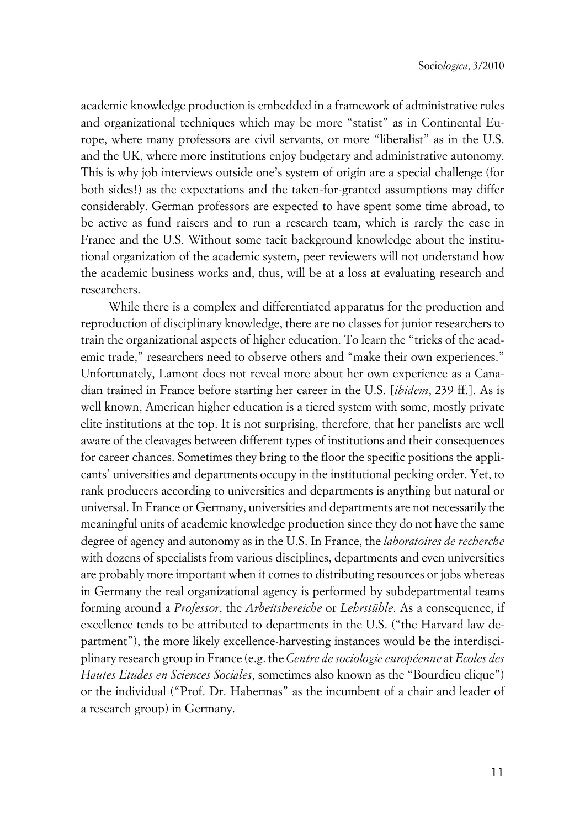academic knowledge production is embedded in a framework of administrative rules and organizational techniques which may be more "statist" as in Continental Europe, where many professors are civil servants, or more "liberalist" as in the U.S. and the UK, where more institutions enjoy budgetary and administrative autonomy. This is why job interviews outside one's system of origin are a special challenge (for both sides!) as the expectations and the taken-for-granted assumptions may differ considerably. German professors are expected to have spent some time abroad, to be active as fund raisers and to run a research team, which is rarely the case in France and the U.S. Without some tacit background knowledge about the institutional organization of the academic system, peer reviewers will not understand how the academic business works and, thus, will be at a loss at evaluating research and researchers.

While there is a complex and differentiated apparatus for the production and reproduction of disciplinary knowledge, there are no classes for junior researchers to train the organizational aspects of higher education. To learn the "tricks of the academic trade," researchers need to observe others and "make their own experiences." Unfortunately, Lamont does not reveal more about her own experience as a Canadian trained in France before starting her career in the U.S. [*ibidem*, 239 ff.]. As is well known, American higher education is a tiered system with some, mostly private elite institutions at the top. It is not surprising, therefore, that her panelists are well aware of the cleavages between different types of institutions and their consequences for career chances. Sometimes they bring to the floor the specific positions the applicants' universities and departments occupy in the institutional pecking order. Yet, to rank producers according to universities and departments is anything but natural or universal. In France or Germany, universities and departments are not necessarily the meaningful units of academic knowledge production since they do not have the same degree of agency and autonomy as in the U.S. In France, the *laboratoires de recherche* with dozens of specialists from various disciplines, departments and even universities are probably more important when it comes to distributing resources or jobs whereas in Germany the real organizational agency is performed by subdepartmental teams forming around a *Professor*, the *Arbeitsbereiche* or *Lehrstühle*. As a consequence, if excellence tends to be attributed to departments in the U.S. ("the Harvard law department"), the more likely excellence-harvesting instances would be the interdisciplinary research group in France (e.g. the *Centre de sociologie européenne* at *Ecoles des Hautes Etudes en Sciences Sociales*, sometimes also known as the "Bourdieu clique") or the individual ("Prof. Dr. Habermas" as the incumbent of a chair and leader of a research group) in Germany.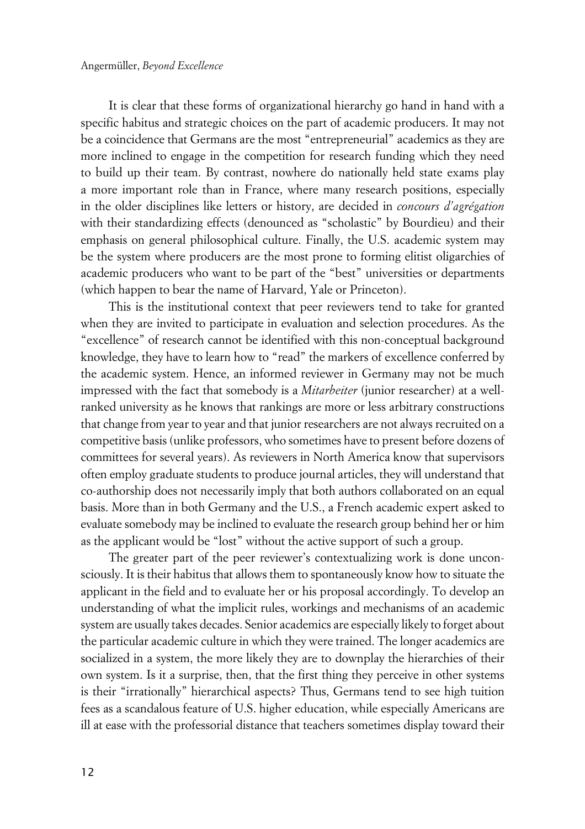It is clear that these forms of organizational hierarchy go hand in hand with a specific habitus and strategic choices on the part of academic producers. It may not be a coincidence that Germans are the most "entrepreneurial" academics as they are more inclined to engage in the competition for research funding which they need to build up their team. By contrast, nowhere do nationally held state exams play a more important role than in France, where many research positions, especially in the older disciplines like letters or history, are decided in *concours d'agrégation* with their standardizing effects (denounced as "scholastic" by Bourdieu) and their emphasis on general philosophical culture. Finally, the U.S. academic system may be the system where producers are the most prone to forming elitist oligarchies of academic producers who want to be part of the "best" universities or departments (which happen to bear the name of Harvard, Yale or Princeton).

This is the institutional context that peer reviewers tend to take for granted when they are invited to participate in evaluation and selection procedures. As the "excellence" of research cannot be identified with this non-conceptual background knowledge, they have to learn how to "read" the markers of excellence conferred by the academic system. Hence, an informed reviewer in Germany may not be much impressed with the fact that somebody is a *Mitarbeiter* (junior researcher) at a wellranked university as he knows that rankings are more or less arbitrary constructions that change from year to year and that junior researchers are not always recruited on a competitive basis (unlike professors, who sometimes have to present before dozens of committees for several years). As reviewers in North America know that supervisors often employ graduate students to produce journal articles, they will understand that co-authorship does not necessarily imply that both authors collaborated on an equal basis. More than in both Germany and the U.S., a French academic expert asked to evaluate somebody may be inclined to evaluate the research group behind her or him as the applicant would be "lost" without the active support of such a group.

The greater part of the peer reviewer's contextualizing work is done unconsciously. It is their habitus that allows them to spontaneously know how to situate the applicant in the field and to evaluate her or his proposal accordingly. To develop an understanding of what the implicit rules, workings and mechanisms of an academic system are usually takes decades. Senior academics are especially likely to forget about the particular academic culture in which they were trained. The longer academics are socialized in a system, the more likely they are to downplay the hierarchies of their own system. Is it a surprise, then, that the first thing they perceive in other systems is their "irrationally" hierarchical aspects? Thus, Germans tend to see high tuition fees as a scandalous feature of U.S. higher education, while especially Americans are ill at ease with the professorial distance that teachers sometimes display toward their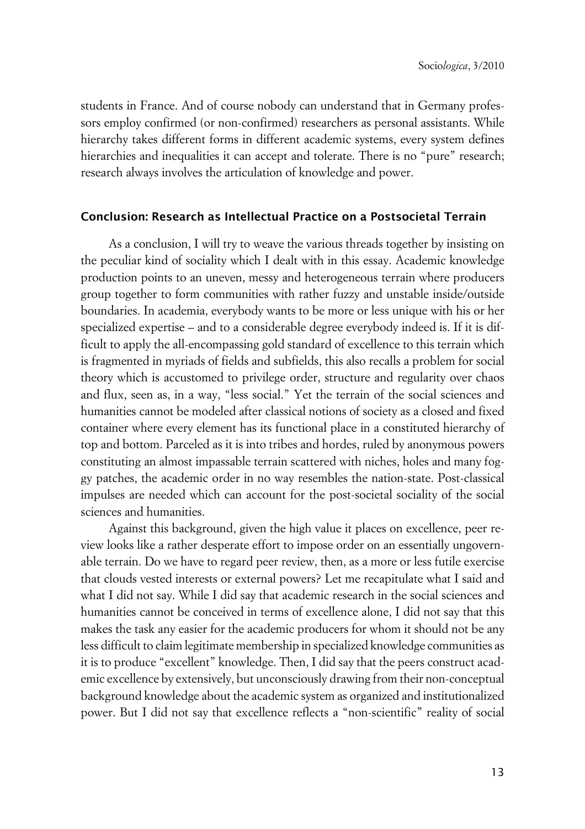students in France. And of course nobody can understand that in Germany professors employ confirmed (or non-confirmed) researchers as personal assistants. While hierarchy takes different forms in different academic systems, every system defines hierarchies and inequalities it can accept and tolerate. There is no "pure" research; research always involves the articulation of knowledge and power.

#### **xConclusion: Research as Intellectual Practice on a Postsocietal Terrain**

As a conclusion, I will try to weave the various threads together by insisting on the peculiar kind of sociality which I dealt with in this essay. Academic knowledge production points to an uneven, messy and heterogeneous terrain where producers group together to form communities with rather fuzzy and unstable inside/outside boundaries. In academia, everybody wants to be more or less unique with his or her specialized expertise – and to a considerable degree everybody indeed is. If it is difficult to apply the all-encompassing gold standard of excellence to this terrain which is fragmented in myriads of fields and subfields, this also recalls a problem for social theory which is accustomed to privilege order, structure and regularity over chaos and flux, seen as, in a way, "less social." Yet the terrain of the social sciences and humanities cannot be modeled after classical notions of society as a closed and fixed container where every element has its functional place in a constituted hierarchy of top and bottom. Parceled as it is into tribes and hordes, ruled by anonymous powers constituting an almost impassable terrain scattered with niches, holes and many foggy patches, the academic order in no way resembles the nation-state. Post-classical impulses are needed which can account for the post-societal sociality of the social sciences and humanities.

Against this background, given the high value it places on excellence, peer review looks like a rather desperate effort to impose order on an essentially ungovernable terrain. Do we have to regard peer review, then, as a more or less futile exercise that clouds vested interests or external powers? Let me recapitulate what I said and what I did not say. While I did say that academic research in the social sciences and humanities cannot be conceived in terms of excellence alone, I did not say that this makes the task any easier for the academic producers for whom it should not be any less difficult to claim legitimate membership in specialized knowledge communities as it is to produce "excellent" knowledge. Then, I did say that the peers construct academic excellence by extensively, but unconsciously drawing from their non-conceptual background knowledge about the academic system as organized and institutionalized power. But I did not say that excellence reflects a "non-scientific" reality of social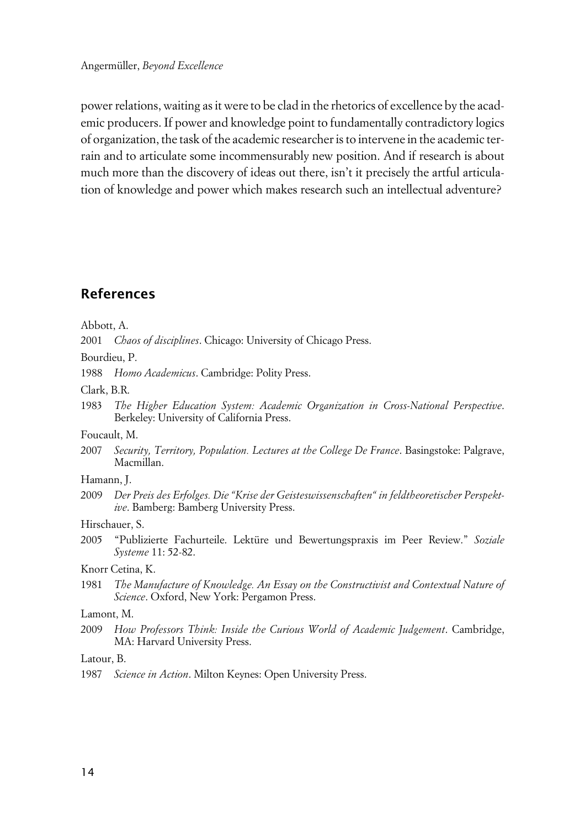power relations, waiting as it were to be clad in the rhetorics of excellence by the academic producers. If power and knowledge point to fundamentally contradictory logics of organization, the task of the academic researcher is to intervene in the academic terrain and to articulate some incommensurably new position. And if research is about much more than the discovery of ideas out there, isn't it precisely the artful articulation of knowledge and power which makes research such an intellectual adventure?

## **References**

Abbott, A.

2001 *Chaos of disciplines*. Chicago: University of Chicago Press.

Bourdieu, P.

1988 *Homo Academicus*. Cambridge: Polity Press.

Clark, B.R.

1983 *The Higher Education System: Academic Organization in Cross-National Perspective*. Berkeley: University of California Press.

Foucault, M.

2007 *Security, Territory, Population. Lectures at the College De France*. Basingstoke: Palgrave, Macmillan.

#### Hamann, J.

2009 *Der Preis des Erfolges. Die "Krise der Geisteswissenschaften" in feldtheoretischer Perspektive*. Bamberg: Bamberg University Press.

#### Hirschauer, S.

2005 "Publizierte Fachurteile. Lektüre und Bewertungspraxis im Peer Review." *Soziale Systeme* 11: 52-82.

Knorr Cetina, K.

1981 *The Manufacture of Knowledge. An Essay on the Constructivist and Contextual Nature of Science*. Oxford, New York: Pergamon Press.

#### Lamont, M.

2009 *How Professors Think: Inside the Curious World of Academic Judgement*. Cambridge, MA: Harvard University Press.

Latour, B.

1987 *Science in Action*. Milton Keynes: Open University Press.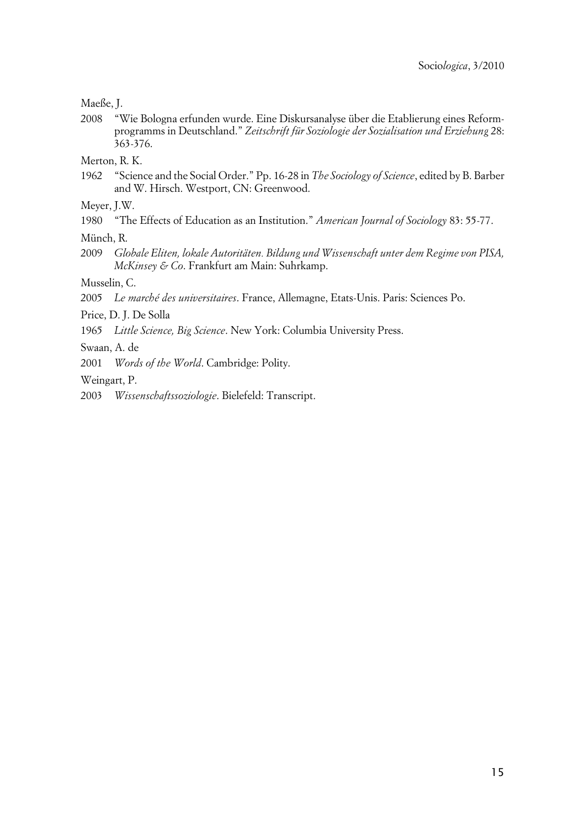```
Maeße, J.
```
2008 "Wie Bologna erfunden wurde. Eine Diskursanalyse über die Etablierung eines Reformprogramms in Deutschland." *Zeitschrift für Soziologie der Sozialisation und Erziehung* 28: 363-376.

Merton, R. K.

1962 "Science and the Social Order." Pp. 16-28 in *The Sociology of Science*, edited by B. Barber and W. Hirsch. Westport, CN: Greenwood.

Meyer, J.W.

- 1980 "The Effects of Education as an Institution." *American Journal of Sociology* 83: 55-77.
- Münch, R.
- 2009 *Globale Eliten, lokale Autoritäten. Bildung und Wissenschaft unter dem Regime von PISA, McKinsey & Co*. Frankfurt am Main: Suhrkamp.

Musselin, C.

2005 *Le marché des universitaires*. France, Allemagne, Etats-Unis. Paris: Sciences Po.

Price, D. J. De Solla

1965 *Little Science, Big Science*. New York: Columbia University Press.

Swaan, A. de

2001 *Words of the World*. Cambridge: Polity.

Weingart, P.

2003 *Wissenschaftssoziologie*. Bielefeld: Transcript.